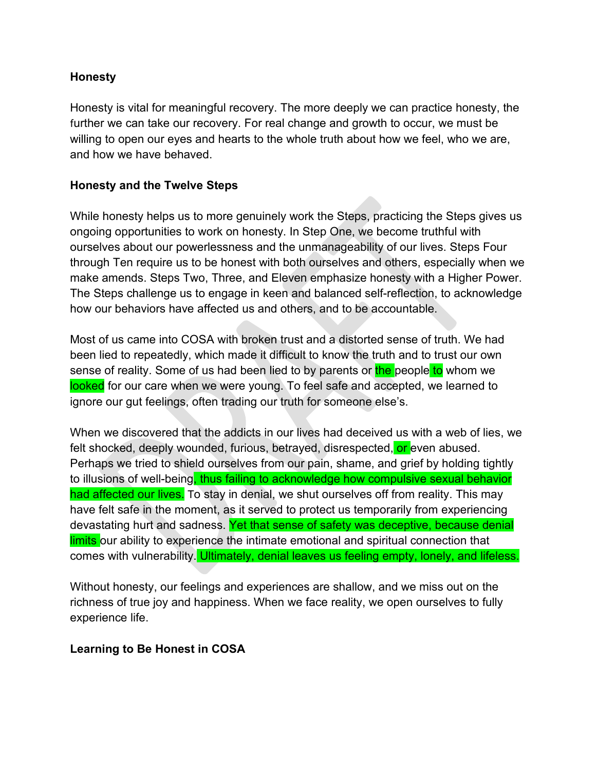### **Honesty**

Honesty is vital for meaningful recovery. The more deeply we can practice honesty, the further we can take our recovery. For real change and growth to occur, we must be willing to open our eyes and hearts to the whole truth about how we feel, who we are, and how we have behaved.

## **Honesty and the Twelve Steps**

While honesty helps us to more genuinely work the Steps, practicing the Steps gives us ongoing opportunities to work on honesty. In Step One, we become truthful with ourselves about our powerlessness and the unmanageability of our lives. Steps Four through Ten require us to be honest with both ourselves and others, especially when we make amends. Steps Two, Three, and Eleven emphasize honesty with a Higher Power. The Steps challenge us to engage in keen and balanced self-reflection, to acknowledge how our behaviors have affected us and others, and to be accountable.

Most of us came into COSA with broken trust and a distorted sense of truth. We had been lied to repeatedly, which made it difficult to know the truth and to trust our own sense of reality. Some of us had been lied to by parents or the people to whom we looked for our care when we were young. To feel safe and accepted, we learned to ignore our gut feelings, often trading our truth for someone else's.

When we discovered that the addicts in our lives had deceived us with a web of lies, we felt shocked, deeply wounded, furious, betrayed, disrespected, or even abused. Perhaps we tried to shield ourselves from our pain, shame, and grief by holding tightly to illusions of well-being, thus failing to acknowledge how compulsive sexual behavior had affected our lives. To stay in denial, we shut ourselves off from reality. This may have felt safe in the moment, as it served to protect us temporarily from experiencing devastating hurt and sadness. Yet that sense of safety was deceptive, because denial limits our ability to experience the intimate emotional and spiritual connection that comes with vulnerability. Ultimately, denial leaves us feeling empty, lonely, and lifeless.

Without honesty, our feelings and experiences are shallow, and we miss out on the richness of true joy and happiness. When we face reality, we open ourselves to fully experience life.

#### **Learning to Be Honest in COSA**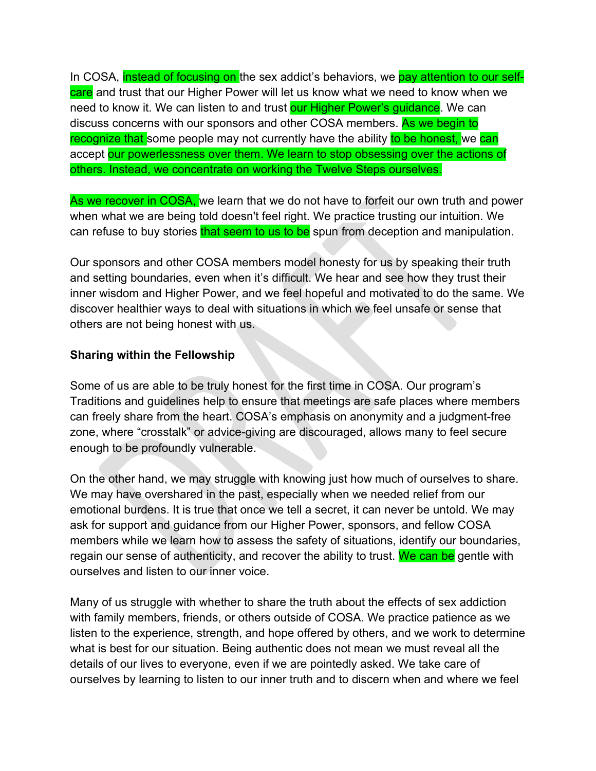In COSA, instead of focusing on the sex addict's behaviors, we pay attention to our selfcare and trust that our Higher Power will let us know what we need to know when we need to know it. We can listen to and trust our Higher Power's guidance. We can discuss concerns with our sponsors and other COSA members. As we begin to recognize that some people may not currently have the ability to be honest, we can accept our powerlessness over them. We learn to stop obsessing over the actions of others. Instead, we concentrate on working the Twelve Steps ourselves.

As we recover in COSA, we learn that we do not have to forfeit our own truth and power when what we are being told doesn't feel right. We practice trusting our intuition. We can refuse to buy stories that seem to us to be spun from deception and manipulation.

Our sponsors and other COSA members model honesty for us by speaking their truth and setting boundaries, even when it's difficult. We hear and see how they trust their inner wisdom and Higher Power, and we feel hopeful and motivated to do the same. We discover healthier ways to deal with situations in which we feel unsafe or sense that others are not being honest with us.

## **Sharing within the Fellowship**

Some of us are able to be truly honest for the first time in COSA. Our program's Traditions and guidelines help to ensure that meetings are safe places where members can freely share from the heart. COSA's emphasis on anonymity and a judgment-free zone, where "crosstalk" or advice-giving are discouraged, allows many to feel secure enough to be profoundly vulnerable.

On the other hand, we may struggle with knowing just how much of ourselves to share. We may have overshared in the past, especially when we needed relief from our emotional burdens. It is true that once we tell a secret, it can never be untold. We may ask for support and guidance from our Higher Power, sponsors, and fellow COSA members while we learn how to assess the safety of situations, identify our boundaries, regain our sense of authenticity, and recover the ability to trust. We can be gentle with ourselves and listen to our inner voice.

Many of us struggle with whether to share the truth about the effects of sex addiction with family members, friends, or others outside of COSA. We practice patience as we listen to the experience, strength, and hope offered by others, and we work to determine what is best for our situation. Being authentic does not mean we must reveal all the details of our lives to everyone, even if we are pointedly asked. We take care of ourselves by learning to listen to our inner truth and to discern when and where we feel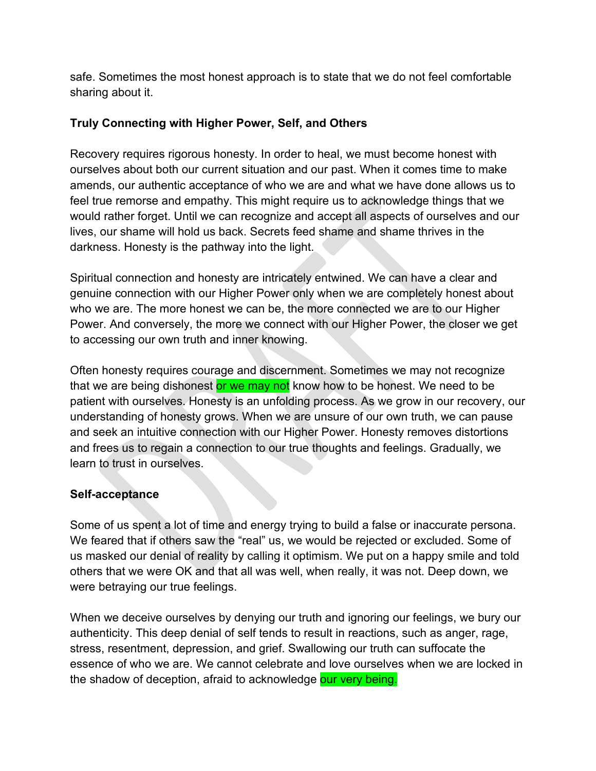safe. Sometimes the most honest approach is to state that we do not feel comfortable sharing about it.

# **Truly Connecting with Higher Power, Self, and Others**

Recovery requires rigorous honesty. In order to heal, we must become honest with ourselves about both our current situation and our past. When it comes time to make amends, our authentic acceptance of who we are and what we have done allows us to feel true remorse and empathy. This might require us to acknowledge things that we would rather forget. Until we can recognize and accept all aspects of ourselves and our lives, our shame will hold us back. Secrets feed shame and shame thrives in the darkness. Honesty is the pathway into the light.

Spiritual connection and honesty are intricately entwined. We can have a clear and genuine connection with our Higher Power only when we are completely honest about who we are. The more honest we can be, the more connected we are to our Higher Power. And conversely, the more we connect with our Higher Power, the closer we get to accessing our own truth and inner knowing.

Often honesty requires courage and discernment. Sometimes we may not recognize that we are being dishonest or we may not know how to be honest. We need to be patient with ourselves. Honesty is an unfolding process. As we grow in our recovery, our understanding of honesty grows. When we are unsure of our own truth, we can pause and seek an intuitive connection with our Higher Power. Honesty removes distortions and frees us to regain a connection to our true thoughts and feelings. Gradually, we learn to trust in ourselves.

## **Self-acceptance**

Some of us spent a lot of time and energy trying to build a false or inaccurate persona. We feared that if others saw the "real" us, we would be rejected or excluded. Some of us masked our denial of reality by calling it optimism. We put on a happy smile and told others that we were OK and that all was well, when really, it was not. Deep down, we were betraying our true feelings.

When we deceive ourselves by denying our truth and ignoring our feelings, we bury our authenticity. This deep denial of self tends to result in reactions, such as anger, rage, stress, resentment, depression, and grief. Swallowing our truth can suffocate the essence of who we are. We cannot celebrate and love ourselves when we are locked in the shadow of deception, afraid to acknowledge our very being.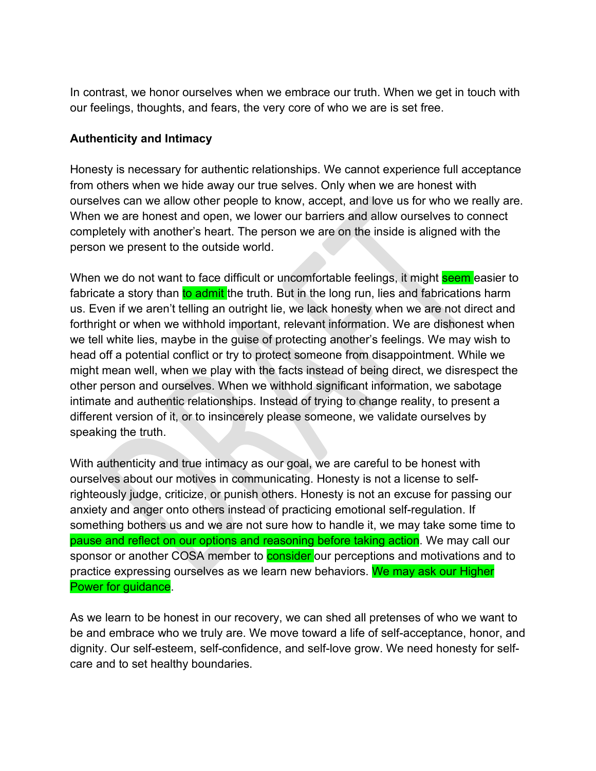In contrast, we honor ourselves when we embrace our truth. When we get in touch with our feelings, thoughts, and fears, the very core of who we are is set free.

### **Authenticity and Intimacy**

Honesty is necessary for authentic relationships. We cannot experience full acceptance from others when we hide away our true selves. Only when we are honest with ourselves can we allow other people to know, accept, and love us for who we really are. When we are honest and open, we lower our barriers and allow ourselves to connect completely with another's heart. The person we are on the inside is aligned with the person we present to the outside world.

When we do not want to face difficult or uncomfortable feelings, it might seem easier to fabricate a story than to admit the truth. But in the long run, lies and fabrications harm us. Even if we aren't telling an outright lie, we lack honesty when we are not direct and forthright or when we withhold important, relevant information. We are dishonest when we tell white lies, maybe in the guise of protecting another's feelings. We may wish to head off a potential conflict or try to protect someone from disappointment. While we might mean well, when we play with the facts instead of being direct, we disrespect the other person and ourselves. When we withhold significant information, we sabotage intimate and authentic relationships. Instead of trying to change reality, to present a different version of it, or to insincerely please someone, we validate ourselves by speaking the truth.

With authenticity and true intimacy as our goal, we are careful to be honest with ourselves about our motives in communicating. Honesty is not a license to selfrighteously judge, criticize, or punish others. Honesty is not an excuse for passing our anxiety and anger onto others instead of practicing emotional self-regulation. If something bothers us and we are not sure how to handle it, we may take some time to pause and reflect on our options and reasoning before taking action. We may call our sponsor or another COSA member to **consider** our perceptions and motivations and to practice expressing ourselves as we learn new behaviors. We may ask our Higher Power for guidance.

As we learn to be honest in our recovery, we can shed all pretenses of who we want to be and embrace who we truly are. We move toward a life of self-acceptance, honor, and dignity. Our self-esteem, self-confidence, and self-love grow. We need honesty for selfcare and to set healthy boundaries.